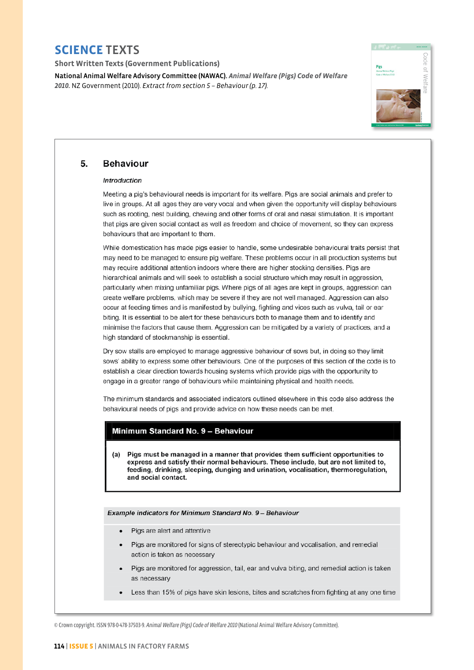**Short Written Texts (Government Publications)** 

National Animal Welfare Advisory Committee (NAWAC). *Animal Welfare (Pigs) Code of Welfare 2010.* NZ Government (2010). *Extract from section 5 – Behaviour (p. 17).*



#### 5. **Behaviour**

### **Introduction**

Meeting a pig's behavioural needs is important for its welfare. Pigs are social animals and prefer to live in groups. At all ages they are very vocal and when given the opportunity will display behaviours such as rooting, nest building, chewing and other forms of oral and nasal stimulation. It is important that pigs are given social contact as well as freedom and choice of movement, so they can express behaviours that are important to them.

While domestication has made pigs easier to handle, some undesirable behavioural traits persist that may need to be managed to ensure pig welfare. These problems occur in all production systems but may require additional attention indoors where there are higher stocking densities. Pigs are hierarchical animals and will seek to establish a social structure which may result in aggression. particularly when mixing unfamiliar pigs. Where pigs of all ages are kept in groups, aggression can create welfare problems, which may be severe if they are not well managed. Aggression can also occur at feeding times and is manifested by bullying, fighting and vices such as vulva, tail or ear biting. It is essential to be alert for these behaviours both to manage them and to identify and minimise the factors that cause them. Aggression can be mitigated by a variety of practices, and a high standard of stockmanship is essential.

Dry sow stalls are employed to manage aggressive behaviour of sows but, in doing so they limit sows' ability to express some other behaviours. One of the purposes of this section of the code is to establish a clear direction towards housing systems which provide pigs with the opportunity to engage in a greater range of behaviours while maintaining physical and health needs.

The minimum standards and associated indicators outlined elsewhere in this code also address the behavioural needs of pigs and provide advice on how these needs can be met.

## Minimum Standard No. 9 - Behaviour

Pigs must be managed in a manner that provides them sufficient opportunities to  $(a)$ express and satisfy their normal behaviours. These include, but are not limited to, feeding, drinking, sleeping, dunging and urination, vocalisation, thermoregulation, and social contact.

Example indicators for Minimum Standard No. 9 - Behaviour

- Pigs are alert and attentive
- Pigs are monitored for signs of stereotypic behaviour and vocalisation, and remedial action is taken as necessary
- Pigs are monitored for aggression, tail, ear and vulva biting, and remedial action is taken as necessary
- Less than 15% of pigs have skin lesions, bites and scratches from fighting at any one time

© Crown copyright. ISSN 978-0-478-37503-9. *Animal Welfare (Pigs) Code of Welfare 2010* (National Animal Welfare Advisory Committee).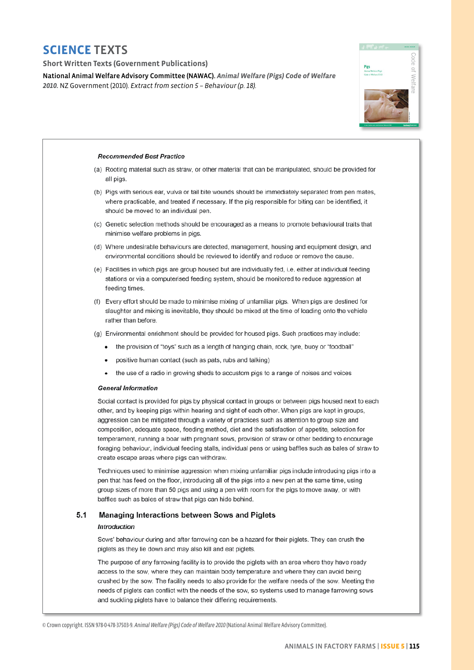### **Short Written Texts (Government Publications)**

National Animal Welfare Advisory Committee (NAWAC). Animal Welfare (Pigs) Code of Welfare 2010. NZ Government (2010). Extract from section 5 - Behaviour (p. 18).



### **Recommended Best Practice**

- (a) Rooting material such as straw, or other material that can be manipulated, should be provided for all pigs.
- (b) Pigs with serious ear, vulva or tail bite wounds should be immediately separated from pen mates, where practicable, and treated if necessary. If the pig responsible for biting can be identified, it should be moved to an individual pen.
- (c) Genetic selection methods should be encouraged as a means to promote behavioural traits that minimise welfare problems in pigs.
- (d) Where undesirable behaviours are detected, management, housing and equipment design, and environmental conditions should be reviewed to identify and reduce or remove the cause.
- (e) Facilities in which pigs are group housed but are individually fed, i.e. either at individual feeding stations or via a computerised feeding system, should be monitored to reduce aggression at feeding times.
- (f) Every effort should be made to minimise mixing of unfamiliar pigs. When pigs are destined for slaughter and mixing is inevitable, they should be mixed at the time of loading onto the vehicle rather than before.
- (g) Environmental enrichment should be provided for housed pigs. Such practices may include:
	- the provision of "toys" such as a length of hanging chain, rock, tyre, buoy or "foodball"
		- positive human contact (such as pats, rubs and talking)
		- the use of a radio in growing sheds to accustom pigs to a range of noises and voices

### **General Information**

Social contact is provided for pigs by physical contact in groups or between pigs housed next to each other, and by keeping pigs within hearing and sight of each other. When pigs are kept in groups, aggression can be mitigated through a variety of practices such as attention to group size and composition, adequate space, feeding method, diet and the satisfaction of appetite, selection for temperament, running a boar with pregnant sows, provision of straw or other bedding to encourage foraging behaviour, individual feeding stalls, individual pens or using baffles such as bales of straw to create escape areas where pigs can withdraw.

Techniques used to minimise aggression when mixing unfamiliar pigs include introducing pigs into a pen that has feed on the floor, introducing all of the pigs into a new pen at the same time, using group sizes of more than 50 pigs and using a pen with room for the pigs to move away, or with baffles such as bales of straw that pigs can hide behind.

#### $5.1$ **Managing Interactions between Sows and Piglets** Introduction

Sows' behaviour during and after farrowing can be a hazard for their piglets. They can crush the piglets as they lie down and may also kill and eat piglets.

The purpose of any farrowing facility is to provide the piglets with an area where they have ready access to the sow, where they can maintain body temperature and where they can avoid being crushed by the sow. The facility needs to also provide for the welfare needs of the sow. Meeting the needs of piglets can conflict with the needs of the sow, so systems used to manage farrowing sows and suckling piglets have to balance their differing requirements.

<sup>©</sup> Crown copyright. ISSN 978-0-478-37503-9. Animal Welfare (Pigs) Code of Welfare 2010 (National Animal Welfare Advisory Committee).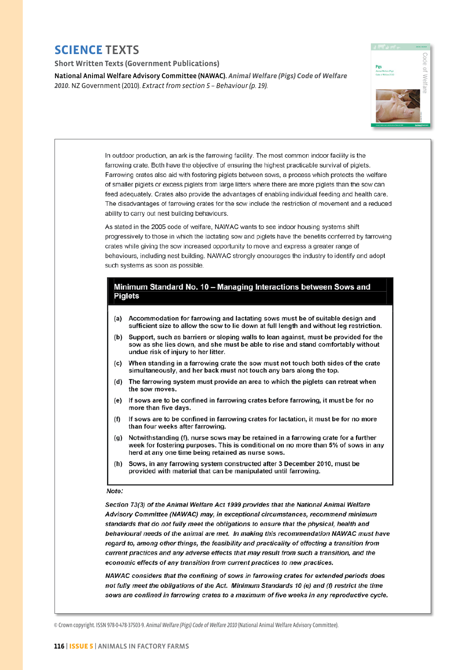### **Short Written Texts (Government Publications)**

National Animal Welfare Advisory Committee (NAWAC). *Animal Welfare (Pigs) Code of Welfare 2010.* NZ Government (2010). *Extract from section 5 – Behaviour (p. 19).*





NAWAC considers that the confining of sows in farrowing crates for extended periods does not fully meet the obligations of the Act. Minimum Standards 10 (e) and (f) restrict the time sows are confined in farrowing crates to a maximum of five weeks in any reproductive cycle.

© Crown copyright. ISSN 978-0-478-37503-9. *Animal Welfare (Pigs) Code of Welfare 2010* (National Animal Welfare Advisory Committee).